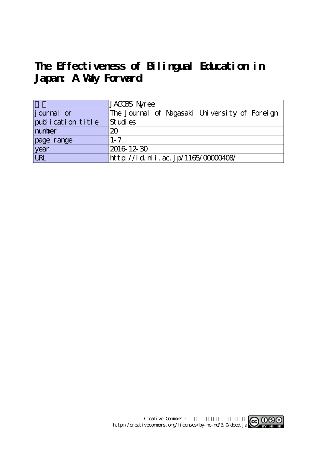# **The Effectiveness of Bilingual Education in Japan: A Way Forward**

|                    | JACOBS Nyree                                  |
|--------------------|-----------------------------------------------|
| <i>j</i> ournal or | The Journal of Nagasaki University of Foreign |
| publication title  | Studies                                       |
| number             | 20                                            |
| page range         | $1 - 7$                                       |
| year<br>URL        | 2016 12 30                                    |
|                    | http://id.nii.ac.jp/1165/00000408/            |

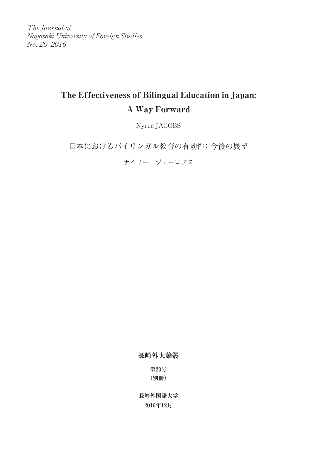The Journal of Nagasaki University of Foreign Studies No. 20 2016

# The Effectiveness of Bilingual Education in Japan: A Way Forward

Nyree JACOBS

日本におけるバイリンガル教育の有効性:今後の展望

ナイリー ジェーコブス

**長崎外大論叢**

**第20号 (別冊)**

**長崎外国語大学 2016年12月**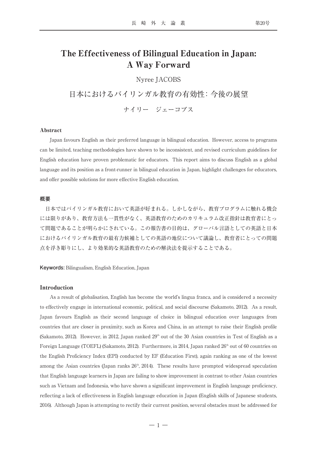# The Effectiveness of Bilingual Education in Japan: A Way Forward

# Nyree JACOBS

日本におけるバイリンガル教育の有効性:今後の展望

ナイリー ジェーコブス

#### Abstract

Japan favours English as their preferred language in bilingual education. However, access to programs can be limited, teaching methodologies have shown to be inconsistent, and revised curriculum guidelines for English education have proven problematic for educators. This report aims to discuss English as a global language and its position as a front-runner in bilingual education in Japan, highlight challenges for educators, and offer possible solutions for more effective English education.

#### **概要**

日本ではバイリンガル教育において英語が好まれる。しかしながら、教育プログラムに触れる機会 には限りがあり、教育方法も一貫性がなく、英語教育のためのカリキュラム改正指針は教育者にとっ て問題であることが明らかにされている。この報告書の目的は、グローバル言語としての英語と日本 におけるバイリンガル教育の最有力候補としての英語の地位について議論し、教育者にとっての問題 点を浮き彫りにし、より効果的な英語教育のための解決法を提示することである。

#### **Keywords:** Bilingualism, English Education, Japan

#### Introduction

As a result of globalisation, English has become the world's lingua franca, and is considered a necessity to effectively engage in international economic, political, and social discourse (Sakamoto, 2012). As a result, Japan favours English as their second language of choice in bilingual education over languages from countries that are closer in proximity, such as Korea and China, in an attempt to raise their English profile (Sakamoto, 2012). However, in 2012, Japan ranked  $29<sup>th</sup>$  out of the 30 Asian countries in Test of English as a Foreign Language (TOEFL) (Sakamoto, 2012). Furthermore, in 2014, Japan ranked 26<sup>th</sup> out of 60 countries on the English Proficiency Index (EPI) conducted by EF (Education First), again ranking as one of the lowest among the Asian countries (Japan ranks  $26<sup>th</sup>$ , 2014). These results have prompted widespread speculation that English language learners in Japan are failing to show improvement in contrast to other Asian countries such as Vietnam and Indonesia, who have shown a significant improvement in English language proficiency, reflecting a lack of effectiveness in English language education in Japan (English skills of Japanese students, 2016). Although Japan is attempting to rectify their current position, several obstacles must be addressed for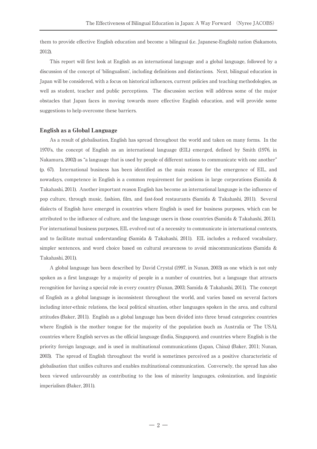them to provide effective English education and become a bilingual (i.e. Japanese-English) nation (Sakamoto, 2012).

This report will first look at English as an international language and a global language, followed by a discussion of the concept of ʻbilingualism', including definitions and distinctions. Next, bilingual education in Japan will be considered, with a focus on historical influences, current policies and teaching methodologies, as well as student, teacher and public perceptions. The discussion section will address some of the major obstacles that Japan faces in moving towards more effective English education, and will provide some suggestions to help overcome these barriers.

## English as a Global Language

As a result of globalisation, English has spread throughout the world and taken on many forms. In the 1970's, the concept of English as an international language (EIL) emerged, defined by Smith (1976, in Nakamura, 2002) as "a language that is used by people of different nations to communicate with one another" (p. 67). International business has been identified as the main reason for the emergence of EIL, and nowadays, competence in English is a common requirement for positions in large corporations (Samida & Takahashi, 2011). Another important reason English has become an international language is the influence of pop culture, through music, fashion, film, and fast-food restaurants (Samida & Takahashi, 2011). Several dialects of English have emerged in countries where English is used for business purposes, which can be attributed to the influence of culture, and the language users in those countries (Samida & Takahashi, 2011). For international business purposes, EIL evolved out of a necessity to communicate in international contexts, and to facilitate mutual understanding (Samida & Takahashi, 2011). EIL includes a reduced vocabulary, simpler sentences, and word choice based on cultural awareness to avoid miscommunications (Samida & Takahashi, 2011).

A global language has been described by David Crystal (1997, in Nunan, 2003) as one which is not only spoken as a first language by a majority of people in a number of countries, but a language that attracts recognition for having a special role in every country (Nunan, 2003; Samida & Takahashi, 2011). The concept of English as a global language is inconsistent throughout the world, and varies based on several factors including inter-ethnic relations, the local political situation, other languages spoken in the area, and cultural attitudes (Baker, 2011). English as a global language has been divided into three broad categories: countries where English is the mother tongue for the majority of the population (such as Australia or The USA), countries where English serves as the official language (India, Singapore), and countries where English is the priority foreign language, and is used in multinational communications (Japan, China) (Baker, 2011; Nunan, 2003). The spread of English throughout the world is sometimes perceived as a positive characteristic of globalisation that unifies cultures and enables multinational communication. Conversely, the spread has also been viewed unfavourably as contributing to the loss of minority languages, colonization, and linguistic imperialism (Baker, 2011).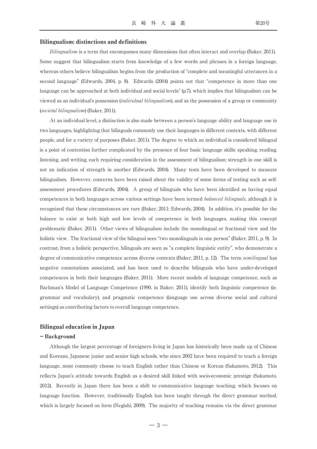#### Bilingualism: distinctions and definitions

Bilingualism is a term that encompasses many dimensions that often interact and overlap (Baker, 2011). Some suggest that bilingualism starts from knowledge of a few words and phrases in a foreign language, whereas others believe bilingualism begins from the production of "complete and meaningful utterances in a second language" (Edwards, 2004, p. 8). Edwards (2004) points out that "competence in more than one language can be approached at both individual and social levels" (p.7), which implies that bilingualism can be viewed as an individual's possession (individual bilingualism), and as the possession of a group or community (societal bilingualism) (Baker, 2011).

At an individual level, a distinction is also made between a person's language ability and language use in two languages, highlighting that bilinguals commonly use their languages in different contexts, with different people, and for a variety of purposes (Baker, 2011). The degree to which an individual is considered bilingual is a point of contention further complicated by the presence of four basic language skills: speaking, reading, listening, and writing, each requiring consideration in the assessment of bilingualism; strength in one skill is not an indication of strength in another (Edwards, 2004). Many tests have been developed to measure bilingualism. However, concerns have been raised about the validity of some forms of testing such as selfassessment procedures (Edwards, 2004). A group of bilinguals who have been identified as having equal competences in both languages across various settings have been termed *balanced bilinguals*, although it is recognized that these circumstances are rare (Baker, 2011; Edwards, 2004). In addition, it's possible for the balance to exist at both high and low levels of competence in both languages, making this concept problematic (Baker, 2011). Other views of bilingualism include the monolingual or fractional view and the holistic view. The fractional view of the bilingual sees "two monolinguals in one person" (Baker, 2011, p. 9). In contrast, from a holistic perspective, bilinguals are seen as "a complete linguistic entity", who demonstrate a degree of communicative competence across diverse contexts (Baker, 2011, p. 12). The term *semilingual* has negative connotations associated, and has been used to describe bilinguals who have under-developed competences in both their languages (Baker, 2011). More recent models of language competence, such as Bachman's Model of Language Competence (1990, in Baker, 2011), identify both linguistic competence (ie. grammar and vocabulary), and pragmatic competence (language use across diverse social and cultural settings) as contributing factors to overall language competence.

## Bilingual education in Japan

#### - Background

Although the largest percentage of foreigners living in Japan has historically been made up of Chinese and Koreans, Japanese junior and senior high schools, who since 2002 have been required to teach a foreign language, most commonly choose to teach English rather than Chinese or Korean (Sakamoto, 2012). This reflects Japan's attitude towards English as a desired skill linked with socio-economic prestige (Sakamoto, 2012). Recently in Japan there has been a shift to communicative language teaching, which focuses on language function. However, traditionally English has been taught through the direct grammar method, which is largely focused on form (Negishi, 2009). The majority of teaching remains via the direct grammar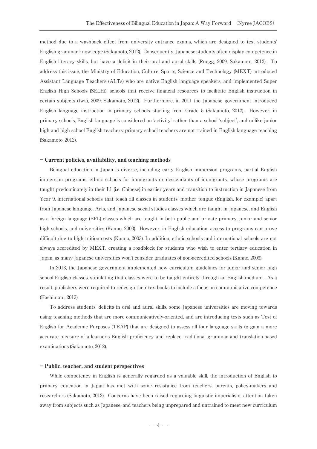method due to a washback effect from university entrance exams, which are designed to test students' English grammar knowledge (Sakamoto, 2012). Consequently, Japanese students often display competence in English literacy skills, but have a deficit in their oral and aural skills (Ruegg, 2009; Sakamoto, 2012). To address this issue, the Ministry of Education, Culture, Sports, Science and Technology (MEXT) introduced Assistant Language Teachers (ALTs) who are native English language speakers, and implemented Super English High Schools (SELHi); schools that receive financial resources to facilitate English instruction in certain subjects (Iwai, 2009; Sakamoto, 2012). Furthermore, in 2011 the Japanese government introduced English language instruction in primary schools starting from Grade 5 (Sakamoto, 2012). However, in primary schools, English language is considered an ʻactivity' rather than a school ʻsubject', and unlike junior high and high school English teachers, primary school teachers are not trained in English language teaching (Sakamoto, 2012).

#### - Current policies, availability, and teaching methods

Bilingual education in Japan is diverse, including early English immersion programs, partial English immersion programs, ethnic schools for immigrants or descendants of immigrants, whose programs are taught predominately in their L1 (i.e. Chinese) in earlier years and transition to instruction in Japanese from Year 9, international schools that teach all classes in students' mother tongue (English, for example) apart from Japanese language, Arts, and Japanese social studies classes which are taught in Japanese, and English as a foreign language (EFL) classes which are taught in both public and private primary, junior and senior high schools, and universities (Kanno, 2003). However, in English education, access to programs can prove difficult due to high tuition costs (Kanno, 2003). In addition, ethnic schools and international schools are not always accredited by MEXT, creating a roadblock for students who wish to enter tertiary education in Japan, as many Japanese universities won't consider graduates of non-accredited schools (Kanno, 2003).

In 2013, the Japanese government implemented new curriculum guidelines for junior and senior high school English classes, stipulating that classes were to be taught entirely through an English-medium. As a result, publishers were required to redesign their textbooks to include a focus on communicative competence (Hashimoto, 2013).

To address students' deficits in oral and aural skills, some Japanese universities are moving towards using teaching methods that are more communicatively-oriented, and are introducing tests such as Test of English for Academic Purposes (TEAP) that are designed to assess all four language skills to gain a more accurate measure of a learner's English proficiency and replace traditional grammar and translation-based examinations (Sakamoto, 2012).

#### - Public, teacher, and student perspectives

While competency in English is generally regarded as a valuable skill, the introduction of English to primary education in Japan has met with some resistance from teachers, parents, policy-makers and researchers (Sakamoto, 2012). Concerns have been raised regarding linguistic imperialism, attention taken away from subjects such as Japanese, and teachers being unprepared and untrained to meet new curriculum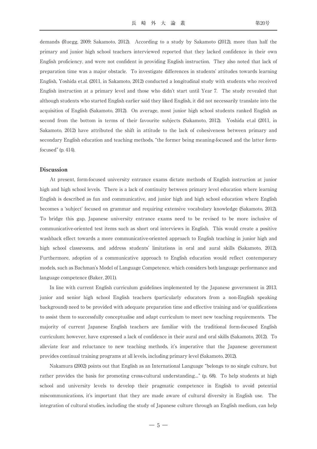demands (Ruegg, 2009; Sakamoto, 2012). According to a study by Sakamoto (2012), more than half the primary and junior high school teachers interviewed reported that they lacked confidence in their own English proficiency, and were not confident in providing English instruction. They also noted that lack of preparation time was a major obstacle. To investigate differences in students' attitudes towards learning English, Yoshida et.al. (2011, in Sakamoto, 2012) conducted a longitudinal study with students who received English instruction at a primary level and those who didn't start until Year 7. The study revealed that although students who started English earlier said they liked English, it did not necessarily translate into the acquisition of English (Sakamoto, 2012). On average, most junior high school students ranked English as second from the bottom in terms of their favourite subjects (Sakamoto, 2012). Yoshida et.al (2011, in Sakamoto, 2012) have attributed the shift in attitude to the lack of cohesiveness between primary and secondary English education and teaching methods, "the former being meaning-focused and the latter formfocused" (p. 414).

#### Discussion

At present, form-focused university entrance exams dictate methods of English instruction at junior high and high school levels. There is a lack of continuity between primary level education where learning English is described as fun and communicative, and junior high and high school education where English becomes a ʻsubject' focused on grammar and requiring extensive vocabulary knowledge (Sakamoto, 2012). To bridge this gap, Japanese university entrance exams need to be revised to be more inclusive of communicative-oriented test items such as short oral interviews in English. This would create a positive washback effect towards a more communicative-oriented approach to English teaching in junior high and high school classrooms, and address students' limitations in oral and aural skills (Sakamoto, 2012). Furthermore, adoption of a communicative approach to English education would reflect contemporary models, such as Bachman's Model of Language Competence, which considers both language performance and language competence (Baker, 2011).

In line with current English curriculum guidelines implemented by the Japanese government in 2013, junior and senior high school English teachers (particularly educators from a non-English speaking background) need to be provided with adequate preparation time and effective training and/or qualifications to assist them to successfully conceptualise and adapt curriculum to meet new teaching requirements. The majority of current Japanese English teachers are familiar with the traditional form-focused English curriculum; however, have expressed a lack of confidence in their aural and oral skills (Sakamoto, 2012). To alleviate fear and reluctance to new teaching methods, it's imperative that the Japanese government provides continual training programs at all levels, including primary level (Sakamoto, 2012).

Nakamura (2002) points out that English as an International Language "belongs to no single culture, but rather provides the basis for promoting cross-cultural understanding…" (p. 68). To help students at high school and university levels to develop their pragmatic competence in English to avoid potential miscommunications, it's important that they are made aware of cultural diversity in English use. The integration of cultural studies, including the study of Japanese culture through an English medium, can help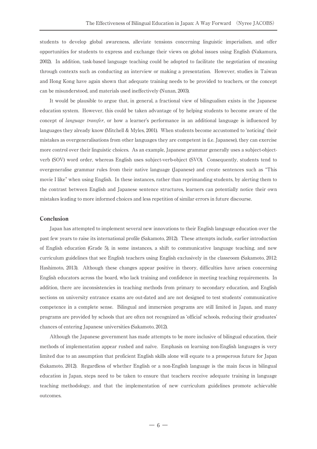students to develop global awareness, alleviate tensions concerning linguistic imperialism, and offer opportunities for students to express and exchange their views on global issues using English (Nakamura, 2002). In addition, task-based language teaching could be adopted to facilitate the negotiation of meaning through contexts such as conducting an interview or making a presentation. However, studies in Taiwan and Hong Kong have again shown that adequate training needs to be provided to teachers, or the concept can be misunderstood, and materials used ineffectively (Nunan, 2003).

It would be plausible to argue that, in general, a fractional view of bilingualism exists in the Japanese education system. However, this could be taken advantage of by helping students to become aware of the concept of language transfer, or how a learner's performance in an additional language is influenced by languages they already know (Mitchell & Myles, 2001). When students become accustomed to ʻnoticing' their mistakes as overgeneralisations from other languages they are competent in (i.e. Japanese), they can exercise more control over their linguistic choices. As an example, Japanese grammar generally uses a subject-objectverb (SOV) word order, whereas English uses subject-verb-object (SVO). Consequently, students tend to overgeneralise grammar rules from their native language (Japanese) and create sentences such as "This movie I like" when using English. In these instances, rather than reprimanding students, by alerting them to the contrast between English and Japanese sentence structures, learners can potentially notice their own mistakes leading to more informed choices and less repetition of similar errors in future discourse.

### Conclusion

Japan has attempted to implement several new innovations to their English language education over the past few years to raise its international profile (Sakamoto, 2012). These attempts include, earlier introduction of English education (Grade 5), in some instances, a shift to communicative language teaching, and new curriculum guidelines that see English teachers using English exclusively in the classroom (Sakamoto, 2012; Hashimoto, 2013). Although these changes appear positive in theory, difficulties have arisen concerning English educators across the board, who lack training and confidence in meeting teaching requirements. In addition, there are inconsistencies in teaching methods from primary to secondary education, and English sections on university entrance exams are out-dated and are not designed to test students' communicative competence in a complete sense. Bilingual and immersion programs are still limited in Japan, and many programs are provided by schools that are often not recognized as ʻofficial' schools, reducing their graduates' chances of entering Japanese universities (Sakamoto, 2012).

Although the Japanese government has made attempts to be more inclusive of bilingual education, their methods of implementation appear rushed and naïve. Emphasis on learning non-English languages is very limited due to an assumption that proficient English skills alone will equate to a prosperous future for Japan (Sakamoto, 2012). Regardless of whether English or a non-English language is the main focus in bilingual education in Japan, steps need to be taken to ensure that teachers receive adequate training in language teaching methodology, and that the implementation of new curriculum guidelines promote achievable outcomes.